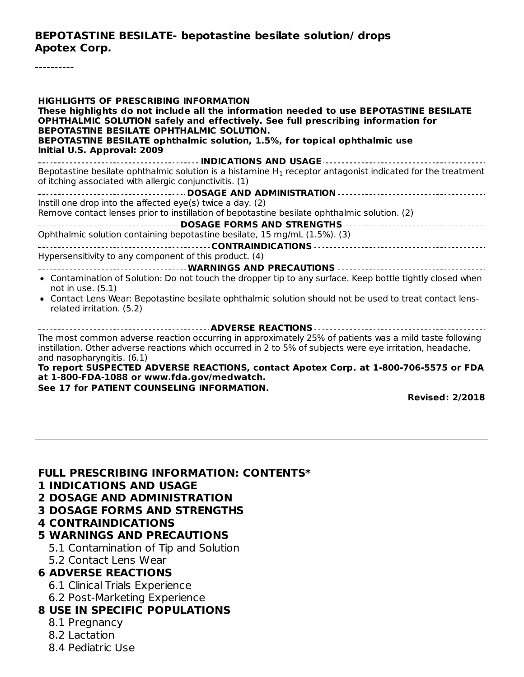#### **BEPOTASTINE BESILATE- bepotastine besilate solution/ drops Apotex Corp.**

----------

**HIGHLIGHTS OF PRESCRIBING INFORMATION These highlights do not include all the information needed to use BEPOTASTINE BESILATE OPHTHALMIC SOLUTION safely and effectively. See full prescribing information for BEPOTASTINE BESILATE OPHTHALMIC SOLUTION. BEPOTASTINE BESILATE ophthalmic solution, 1.5%, for topical ophthalmic use Initial U.S. Approval: 2009 INDICATIONS AND USAGE** Bepotastine besilate ophthalmic solution is a histamine  ${\sf H}_1$  receptor antagonist indicated for the treatment of itching associated with allergic conjunctivitis. (1) **DOSAGE AND ADMINISTRATION** Instill one drop into the affected eye(s) twice a day. (2) Remove contact lenses prior to instillation of bepotastine besilate ophthalmic solution. (2) **DOSAGE FORMS AND STRENGTHS** Ophthalmic solution containing bepotastine besilate, 15 mg/mL (1.5%). (3) **CONTRAINDICATIONS** Hypersensitivity to any component of this product. (4) **WARNINGS AND PRECAUTIONS** Contamination of Solution: Do not touch the dropper tip to any surface. Keep bottle tightly closed when not in use. (5.1) Contact Lens Wear: Bepotastine besilate ophthalmic solution should not be used to treat contact lensrelated irritation. (5.2) **ADVERSE REACTIONS** The most common adverse reaction occurring in approximately 25% of patients was a mild taste following instillation. Other adverse reactions which occurred in 2 to 5% of subjects were eye irritation, headache, and nasopharyngitis. (6.1) **To report SUSPECTED ADVERSE REACTIONS, contact Apotex Corp. at 1-800-706-5575 or FDA at 1-800-FDA-1088 or www.fda.gov/medwatch.**

#### **See 17 for PATIENT COUNSELING INFORMATION.**

**Revised: 2/2018**

#### **FULL PRESCRIBING INFORMATION: CONTENTS\***

- **1 INDICATIONS AND USAGE**
- **2 DOSAGE AND ADMINISTRATION**
- **3 DOSAGE FORMS AND STRENGTHS**
- **4 CONTRAINDICATIONS**
- **5 WARNINGS AND PRECAUTIONS**
	- 5.1 Contamination of Tip and Solution
	- 5.2 Contact Lens Wear

#### **6 ADVERSE REACTIONS**

- 6.1 Clinical Trials Experience
- 6.2 Post-Marketing Experience

#### **8 USE IN SPECIFIC POPULATIONS**

- 8.1 Pregnancy
- 8.2 Lactation
- 8.4 Pediatric Use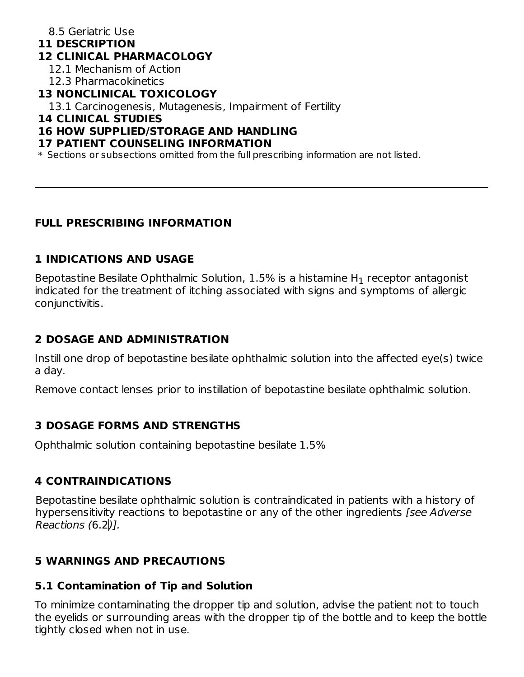## 8.5 Geriatric Use

#### **11 DESCRIPTION**

#### **12 CLINICAL PHARMACOLOGY**

12.1 Mechanism of Action

12.3 Pharmacokinetics

#### **13 NONCLINICAL TOXICOLOGY**

13.1 Carcinogenesis, Mutagenesis, Impairment of Fertility

#### **14 CLINICAL STUDIES**

#### **16 HOW SUPPLIED/STORAGE AND HANDLING**

#### **17 PATIENT COUNSELING INFORMATION**

\* Sections or subsections omitted from the full prescribing information are not listed.

#### **FULL PRESCRIBING INFORMATION**

#### **1 INDICATIONS AND USAGE**

Bepotastine Besilate Ophthalmic Solution,  $1.5\%$  is a histamine H $_1$  receptor antagonist indicated for the treatment of itching associated with signs and symptoms of allergic conjunctivitis.

## **2 DOSAGE AND ADMINISTRATION**

Instill one drop of bepotastine besilate ophthalmic solution into the affected eye(s) twice a day.

Remove contact lenses prior to instillation of bepotastine besilate ophthalmic solution.

#### **3 DOSAGE FORMS AND STRENGTHS**

Ophthalmic solution containing bepotastine besilate 1.5%

#### **4 CONTRAINDICATIONS**

Bepotastine besilate ophthalmic solution is contraindicated in patients with a history of hypersensitivity reactions to bepotastine or any of the other ingredients *[see Adverse* Reactions (6.2)].

## **5 WARNINGS AND PRECAUTIONS**

#### **5.1 Contamination of Tip and Solution**

To minimize contaminating the dropper tip and solution, advise the patient not to touch the eyelids or surrounding areas with the dropper tip of the bottle and to keep the bottle tightly closed when not in use.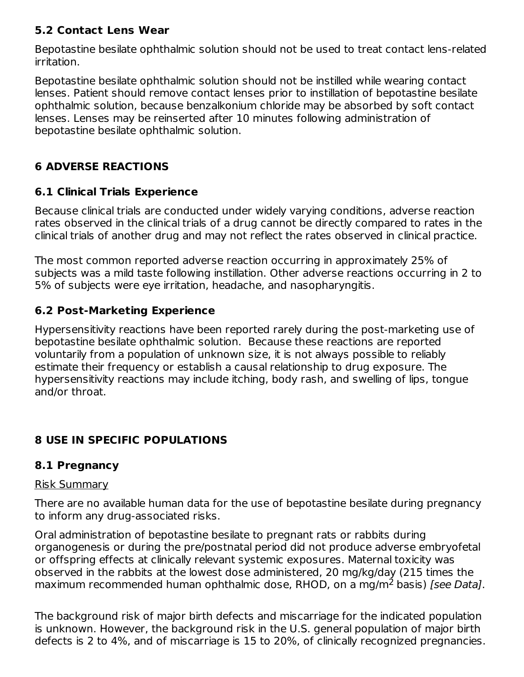## **5.2 Contact Lens Wear**

Bepotastine besilate ophthalmic solution should not be used to treat contact lens-related irritation.

Bepotastine besilate ophthalmic solution should not be instilled while wearing contact lenses. Patient should remove contact lenses prior to instillation of bepotastine besilate ophthalmic solution, because benzalkonium chloride may be absorbed by soft contact lenses. Lenses may be reinserted after 10 minutes following administration of bepotastine besilate ophthalmic solution.

## **6 ADVERSE REACTIONS**

## **6.1 Clinical Trials Experience**

Because clinical trials are conducted under widely varying conditions, adverse reaction rates observed in the clinical trials of a drug cannot be directly compared to rates in the clinical trials of another drug and may not reflect the rates observed in clinical practice.

The most common reported adverse reaction occurring in approximately 25% of subjects was a mild taste following instillation. Other adverse reactions occurring in 2 to 5% of subjects were eye irritation, headache, and nasopharyngitis.

## **6.2 Post-Marketing Experience**

Hypersensitivity reactions have been reported rarely during the post-marketing use of bepotastine besilate ophthalmic solution. Because these reactions are reported voluntarily from a population of unknown size, it is not always possible to reliably estimate their frequency or establish a causal relationship to drug exposure. The hypersensitivity reactions may include itching, body rash, and swelling of lips, tongue and/or throat.

# **8 USE IN SPECIFIC POPULATIONS**

## **8.1 Pregnancy**

#### Risk Summary

There are no available human data for the use of bepotastine besilate during pregnancy to inform any drug-associated risks.

Oral administration of bepotastine besilate to pregnant rats or rabbits during organogenesis or during the pre/postnatal period did not produce adverse embryofetal or offspring effects at clinically relevant systemic exposures. Maternal toxicity was observed in the rabbits at the lowest dose administered, 20 mg/kg/day (215 times the maximum recommended human ophthalmic dose, RHOD, on a mg/m<sup>2</sup> basis) [see Data].

The background risk of major birth defects and miscarriage for the indicated population is unknown. However, the background risk in the U.S. general population of major birth defects is 2 to 4%, and of miscarriage is 15 to 20%, of clinically recognized pregnancies.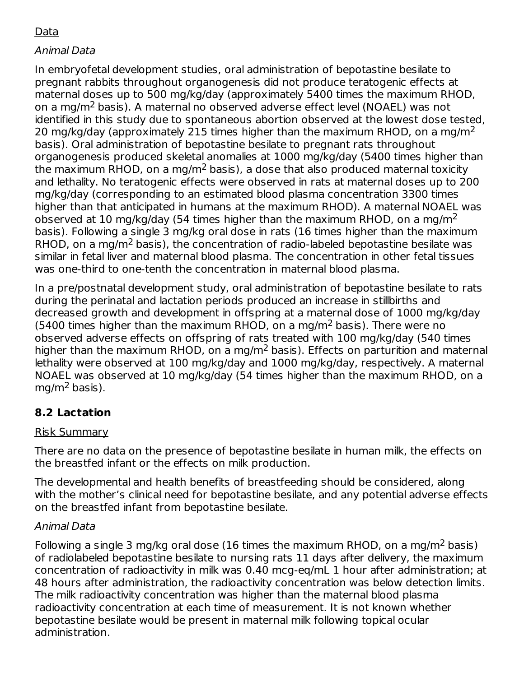# Data

## Animal Data

In embryofetal development studies, oral administration of bepotastine besilate to pregnant rabbits throughout organogenesis did not produce teratogenic effects at maternal doses up to 500 mg/kg/day (approximately 5400 times the maximum RHOD, on a mg/m $^2$  basis). A maternal no observed adverse effect level (NOAEL) was not identified in this study due to spontaneous abortion observed at the lowest dose tested, 20 mg/kg/day (approximately 215 times higher than the maximum RHOD, on a mg/m<sup>2</sup> basis). Oral administration of bepotastine besilate to pregnant rats throughout organogenesis produced skeletal anomalies at 1000 mg/kg/day (5400 times higher than the maximum RHOD, on a mg/m<sup>2</sup> basis), a dose that also produced maternal toxicity and lethality. No teratogenic effects were observed in rats at maternal doses up to 200 mg/kg/day (corresponding to an estimated blood plasma concentration 3300 times higher than that anticipated in humans at the maximum RHOD). A maternal NOAEL was observed at 10 mg/kg/day (54 times higher than the maximum RHOD, on a mg/m<sup>2</sup> basis). Following a single 3 mg/kg oral dose in rats (16 times higher than the maximum RHOD, on a mg/m<sup>2</sup> basis), the concentration of radio-labeled bepotastine besilate was similar in fetal liver and maternal blood plasma. The concentration in other fetal tissues was one-third to one-tenth the concentration in maternal blood plasma.

In a pre/postnatal development study, oral administration of bepotastine besilate to rats during the perinatal and lactation periods produced an increase in stillbirths and decreased growth and development in offspring at a maternal dose of 1000 mg/kg/day (5400 times higher than the maximum RHOD, on a mg/m<sup>2</sup> basis). There were no observed adverse effects on offspring of rats treated with 100 mg/kg/day (540 times higher than the maximum RHOD, on a mg/m<sup>2</sup> basis). Effects on parturition and maternal lethality were observed at 100 mg/kg/day and 1000 mg/kg/day, respectively. A maternal NOAEL was observed at 10 mg/kg/day (54 times higher than the maximum RHOD, on a mg/m<sup>2</sup> basis).

## **8.2 Lactation**

#### Risk Summary

There are no data on the presence of bepotastine besilate in human milk, the effects on the breastfed infant or the effects on milk production.

The developmental and health benefits of breastfeeding should be considered, along with the mother's clinical need for bepotastine besilate, and any potential adverse effects on the breastfed infant from bepotastine besilate.

#### Animal Data

Following a single 3 mg/kg oral dose (16 times the maximum RHOD, on a mg/m<sup>2</sup> basis) of radiolabeled bepotastine besilate to nursing rats 11 days after delivery, the maximum concentration of radioactivity in milk was 0.40 mcg-eq/mL 1 hour after administration; at 48 hours after administration, the radioactivity concentration was below detection limits. The milk radioactivity concentration was higher than the maternal blood plasma radioactivity concentration at each time of measurement. It is not known whether bepotastine besilate would be present in maternal milk following topical ocular administration.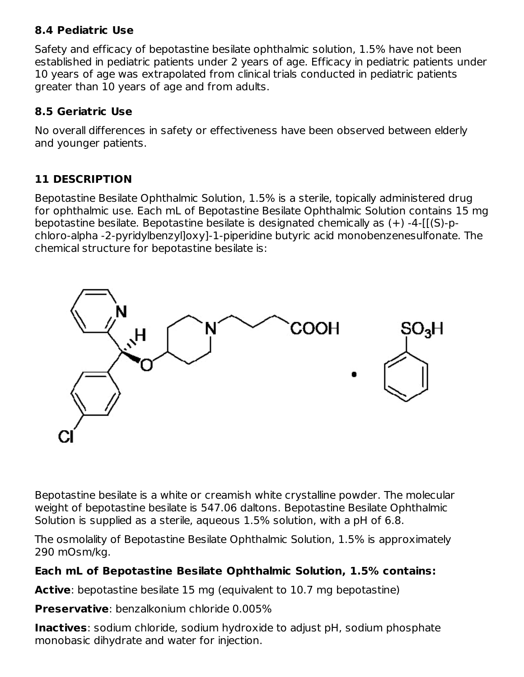## **8.4 Pediatric Use**

Safety and efficacy of bepotastine besilate ophthalmic solution, 1.5% have not been established in pediatric patients under 2 years of age. Efficacy in pediatric patients under 10 years of age was extrapolated from clinical trials conducted in pediatric patients greater than 10 years of age and from adults.

## **8.5 Geriatric Use**

No overall differences in safety or effectiveness have been observed between elderly and younger patients.

# **11 DESCRIPTION**

Bepotastine Besilate Ophthalmic Solution, 1.5% is a sterile, topically administered drug for ophthalmic use. Each mL of Bepotastine Besilate Ophthalmic Solution contains 15 mg bepotastine besilate. Bepotastine besilate is designated chemically as (+) -4-[[(S)-pchloro-alpha -2-pyridylbenzyl]oxy]-1-piperidine butyric acid monobenzenesulfonate. The chemical structure for bepotastine besilate is:



Bepotastine besilate is a white or creamish white crystalline powder. The molecular weight of bepotastine besilate is 547.06 daltons. Bepotastine Besilate Ophthalmic Solution is supplied as a sterile, aqueous 1.5% solution, with a pH of 6.8.

The osmolality of Bepotastine Besilate Ophthalmic Solution, 1.5% is approximately 290 mOsm/kg.

## **Each mL of Bepotastine Besilate Ophthalmic Solution, 1.5% contains:**

**Active**: bepotastine besilate 15 mg (equivalent to 10.7 mg bepotastine)

**Preservative**: benzalkonium chloride 0.005%

**Inactives**: sodium chloride, sodium hydroxide to adjust pH, sodium phosphate monobasic dihydrate and water for injection.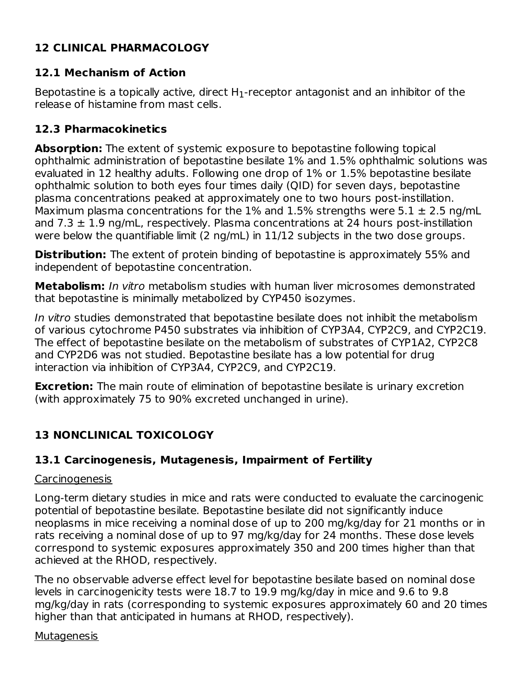# **12 CLINICAL PHARMACOLOGY**

## **12.1 Mechanism of Action**

Bepotastine is a topically active, direct  $\mathsf{H}_1$ -receptor antagonist and an inhibitor of the release of histamine from mast cells.

## **12.3 Pharmacokinetics**

**Absorption:** The extent of systemic exposure to bepotastine following topical ophthalmic administration of bepotastine besilate 1% and 1.5% ophthalmic solutions was evaluated in 12 healthy adults. Following one drop of 1% or 1.5% bepotastine besilate ophthalmic solution to both eyes four times daily (QID) for seven days, bepotastine plasma concentrations peaked at approximately one to two hours post-instillation. Maximum plasma concentrations for the 1% and 1.5% strengths were 5.1  $\pm$  2.5 ng/mL and  $7.3 \pm 1.9$  ng/mL, respectively. Plasma concentrations at 24 hours post-instillation were below the quantifiable limit (2 ng/mL) in 11/12 subjects in the two dose groups.

**Distribution:** The extent of protein binding of bepotastine is approximately 55% and independent of bepotastine concentration.

**Metabolism:** In vitro metabolism studies with human liver microsomes demonstrated that bepotastine is minimally metabolized by CYP450 isozymes.

In vitro studies demonstrated that bepotastine besilate does not inhibit the metabolism of various cytochrome P450 substrates via inhibition of CYP3A4, CYP2C9, and CYP2C19. The effect of bepotastine besilate on the metabolism of substrates of CYP1A2, CYP2C8 and CYP2D6 was not studied. Bepotastine besilate has a low potential for drug interaction via inhibition of CYP3A4, CYP2C9, and CYP2C19.

**Excretion:** The main route of elimination of bepotastine besilate is urinary excretion (with approximately 75 to 90% excreted unchanged in urine).

# **13 NONCLINICAL TOXICOLOGY**

## **13.1 Carcinogenesis, Mutagenesis, Impairment of Fertility**

#### **Carcinogenesis**

Long-term dietary studies in mice and rats were conducted to evaluate the carcinogenic potential of bepotastine besilate. Bepotastine besilate did not significantly induce neoplasms in mice receiving a nominal dose of up to 200 mg/kg/day for 21 months or in rats receiving a nominal dose of up to 97 mg/kg/day for 24 months. These dose levels correspond to systemic exposures approximately 350 and 200 times higher than that achieved at the RHOD, respectively.

The no observable adverse effect level for bepotastine besilate based on nominal dose levels in carcinogenicity tests were 18.7 to 19.9 mg/kg/day in mice and 9.6 to 9.8 mg/kg/day in rats (corresponding to systemic exposures approximately 60 and 20 times higher than that anticipated in humans at RHOD, respectively).

#### Mutagenesis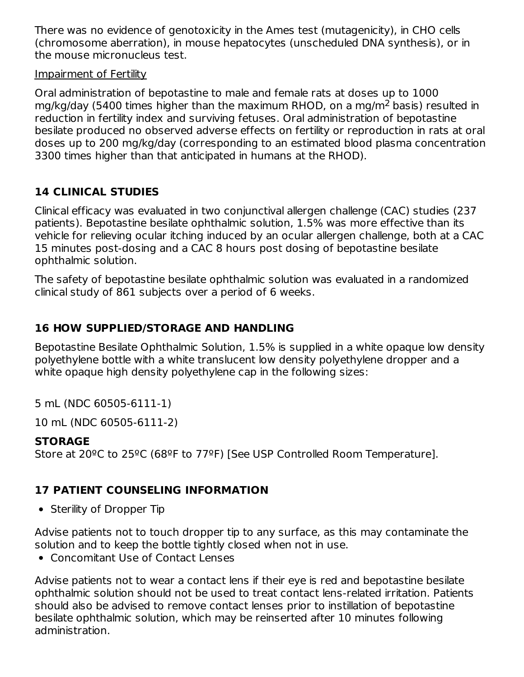There was no evidence of genotoxicity in the Ames test (mutagenicity), in CHO cells (chromosome aberration), in mouse hepatocytes (unscheduled DNA synthesis), or in the mouse micronucleus test.

#### Impairment of Fertility

Oral administration of bepotastine to male and female rats at doses up to 1000 mg/kg/day (5400 times higher than the maximum RHOD, on a mg/m<sup>2</sup> basis) resulted in reduction in fertility index and surviving fetuses. Oral administration of bepotastine besilate produced no observed adverse effects on fertility or reproduction in rats at oral doses up to 200 mg/kg/day (corresponding to an estimated blood plasma concentration 3300 times higher than that anticipated in humans at the RHOD).

## **14 CLINICAL STUDIES**

Clinical efficacy was evaluated in two conjunctival allergen challenge (CAC) studies (237 patients). Bepotastine besilate ophthalmic solution, 1.5% was more effective than its vehicle for relieving ocular itching induced by an ocular allergen challenge, both at a CAC 15 minutes post-dosing and a CAC 8 hours post dosing of bepotastine besilate ophthalmic solution.

The safety of bepotastine besilate ophthalmic solution was evaluated in a randomized clinical study of 861 subjects over a period of 6 weeks.

## **16 HOW SUPPLIED/STORAGE AND HANDLING**

Bepotastine Besilate Ophthalmic Solution, 1.5% is supplied in a white opaque low density polyethylene bottle with a white translucent low density polyethylene dropper and a white opaque high density polyethylene cap in the following sizes:

5 mL (NDC 60505-6111-1)

10 mL (NDC 60505-6111-2)

#### **STORAGE**

Store at 20ºC to 25ºC (68ºF to 77ºF) [See USP Controlled Room Temperature].

## **17 PATIENT COUNSELING INFORMATION**

• Sterility of Dropper Tip

Advise patients not to touch dropper tip to any surface, as this may contaminate the solution and to keep the bottle tightly closed when not in use.

Concomitant Use of Contact Lenses

Advise patients not to wear a contact lens if their eye is red and bepotastine besilate ophthalmic solution should not be used to treat contact lens-related irritation. Patients should also be advised to remove contact lenses prior to instillation of bepotastine besilate ophthalmic solution, which may be reinserted after 10 minutes following administration.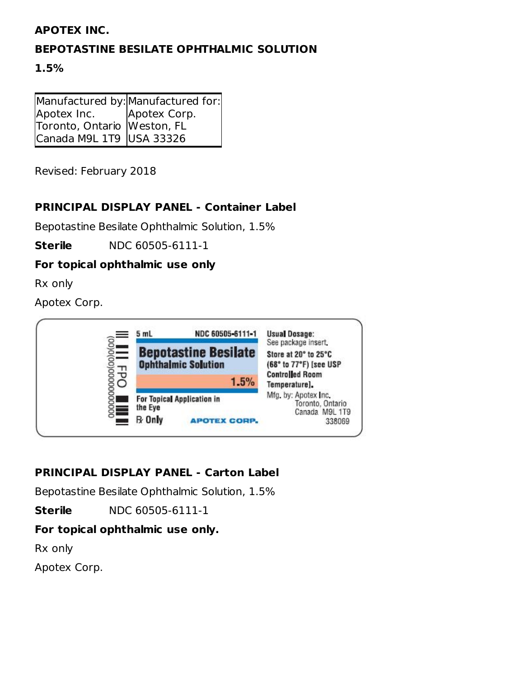#### **APOTEX INC.**

## **BEPOTASTINE BESILATE OPHTHALMIC SOLUTION**

#### **1.5%**

|                             | Manufactured by: Manufactured for: |
|-----------------------------|------------------------------------|
| Apotex Inc.                 | Apotex Corp.                       |
| Toronto, Ontario Weston, FL |                                    |
| Canada M9L 1T9 USA 33326    |                                    |

Revised: February 2018

## **PRINCIPAL DISPLAY PANEL - Container Label**

Bepotastine Besilate Ophthalmic Solution, 1.5%

**Sterile** NDC 60505-6111-1

## **For topical ophthalmic use only**

Rx only

Apotex Corp.



## **PRINCIPAL DISPLAY PANEL - Carton Label**

Bepotastine Besilate Ophthalmic Solution, 1.5%

**Sterile** NDC 60505-6111-1

## **For topical ophthalmic use only.**

Rx only

Apotex Corp.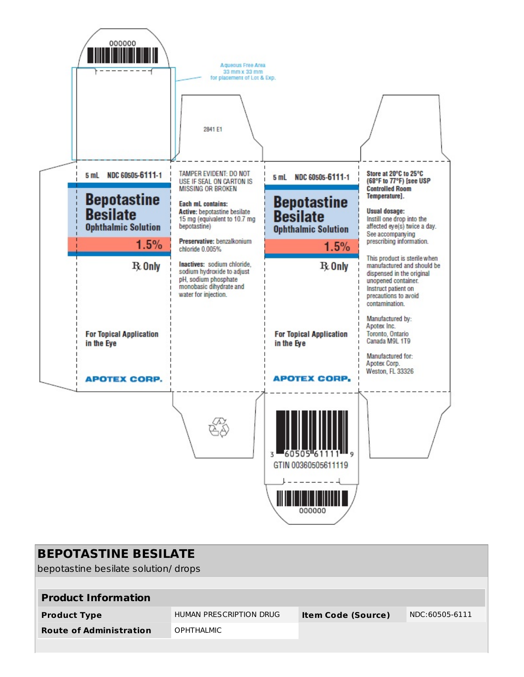

| <b>BEPOTASTINE BESILATE</b><br>bepotastine besilate solution/drops |                         |                           |                |  |
|--------------------------------------------------------------------|-------------------------|---------------------------|----------------|--|
| <b>Product Information</b>                                         |                         |                           |                |  |
| <b>Product Type</b>                                                | HUMAN PRESCRIPTION DRUG | <b>Item Code (Source)</b> | NDC:60505-6111 |  |
| <b>Route of Administration</b>                                     | <b>OPHTHALMIC</b>       |                           |                |  |
|                                                                    |                         |                           |                |  |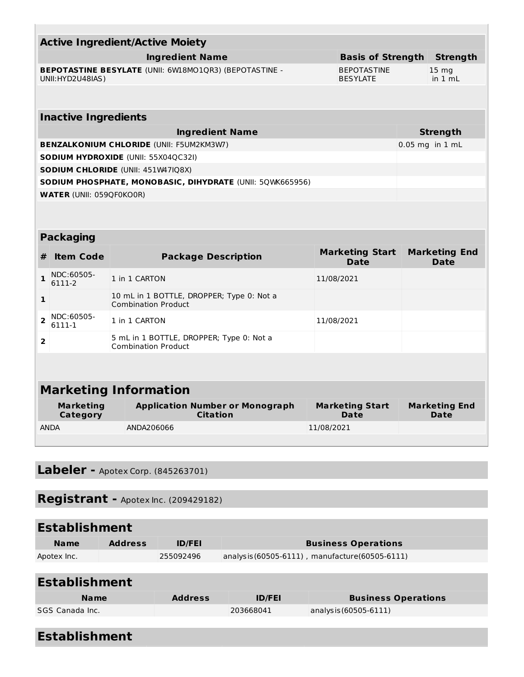| <b>Active Ingredient/Active Moiety</b> |                                                                                                                             |                                                                         |                                       |  |                                     |  |
|----------------------------------------|-----------------------------------------------------------------------------------------------------------------------------|-------------------------------------------------------------------------|---------------------------------------|--|-------------------------------------|--|
|                                        |                                                                                                                             | <b>Ingredient Name</b>                                                  | <b>Basis of Strength</b>              |  | <b>Strength</b>                     |  |
|                                        | <b>BEPOTASTINE BESYLATE (UNII: 6W18MO1QR3) (BEPOTASTINE -</b><br><b>BEPOTASTINE</b><br>UNII: HYD2U48IAS)<br><b>BESYLATE</b> |                                                                         |                                       |  | 15 <sub>mg</sub><br>in 1 mL         |  |
|                                        |                                                                                                                             |                                                                         |                                       |  |                                     |  |
|                                        | <b>Inactive Ingredients</b>                                                                                                 |                                                                         |                                       |  |                                     |  |
|                                        |                                                                                                                             | <b>Ingredient Name</b>                                                  |                                       |  | <b>Strength</b>                     |  |
|                                        |                                                                                                                             | <b>BENZALKONIUM CHLORIDE (UNII: F5UM2KM3W7)</b>                         |                                       |  | 0.05 mg in 1 mL                     |  |
|                                        |                                                                                                                             | <b>SODIUM HYDROXIDE (UNII: 55X04QC32I)</b>                              |                                       |  |                                     |  |
|                                        |                                                                                                                             | <b>SODIUM CHLORIDE (UNII: 451W47IQ8X)</b>                               |                                       |  |                                     |  |
|                                        |                                                                                                                             | SODIUM PHOSPHATE, MONOBASIC, DIHYDRATE (UNII: 50WK665956)               |                                       |  |                                     |  |
|                                        | <b>WATER (UNII: 059QF0KO0R)</b>                                                                                             |                                                                         |                                       |  |                                     |  |
|                                        |                                                                                                                             |                                                                         |                                       |  |                                     |  |
|                                        |                                                                                                                             |                                                                         |                                       |  |                                     |  |
|                                        | <b>Packaging</b>                                                                                                            |                                                                         |                                       |  |                                     |  |
| #                                      | <b>Item Code</b>                                                                                                            | <b>Package Description</b>                                              | <b>Marketing Start</b><br><b>Date</b> |  | <b>Marketing End</b><br><b>Date</b> |  |
| 1                                      | NDC:60505-<br>6111-2                                                                                                        | 1 in 1 CARTON                                                           | 11/08/2021                            |  |                                     |  |
| 1                                      |                                                                                                                             | 10 mL in 1 BOTTLE, DROPPER; Type 0: Not a<br><b>Combination Product</b> |                                       |  |                                     |  |
| $\overline{2}$                         | NDC:60505-<br>6111-1                                                                                                        | 1 in 1 CARTON                                                           | 11/08/2021                            |  |                                     |  |
| $\overline{2}$                         |                                                                                                                             | 5 mL in 1 BOTTLE, DROPPER; Type 0: Not a<br><b>Combination Product</b>  |                                       |  |                                     |  |

# **Marketing Information**

| Marketing<br>Category | <b>Application Number or Monograph</b><br><b>Citation</b> | <b>Marketing End</b><br><b>Marketing Start</b><br>Date<br>Date |  |
|-----------------------|-----------------------------------------------------------|----------------------------------------------------------------|--|
| <b>ANDA</b>           | ANDA206066                                                | 11/08/2021                                                     |  |

**Labeler -** Apotex Corp. (845263701)

# **Registrant -** Apotex Inc. (209429182)

| <b>Establishment</b> |                |               |                                                 |  |
|----------------------|----------------|---------------|-------------------------------------------------|--|
| <b>Name</b>          | <b>Address</b> | <b>ID/FEI</b> | <b>Business Operations</b>                      |  |
| Apotex Inc.          |                | 255092496     | analysis (60505-6111), manufacture (60505-6111) |  |

| <b>Establishment</b> |                |               |                            |  |
|----------------------|----------------|---------------|----------------------------|--|
| <b>Name</b>          | <b>Address</b> | <b>ID/FEI</b> | <b>Business Operations</b> |  |
| SGS Canada Inc.      |                | 203668041     | analysis (60505-6111)      |  |
|                      |                |               |                            |  |

| <b>Establishment</b> |
|----------------------|
|----------------------|